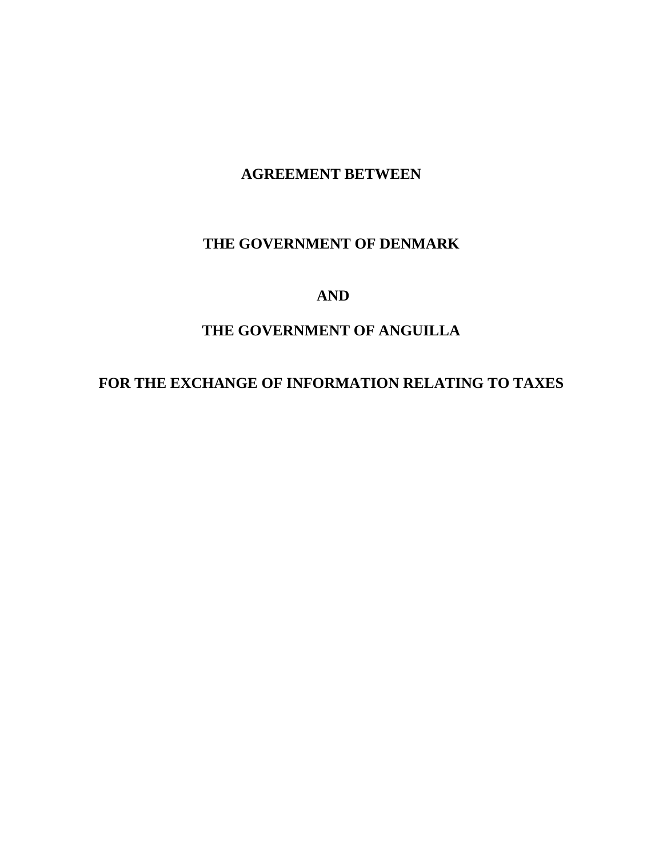# **AGREEMENT BETWEEN**

# **THE GOVERNMENT OF DENMARK**

# **AND**

# **THE GOVERNMENT OF ANGUILLA**

# **FOR THE EXCHANGE OF INFORMATION RELATING TO TAXES**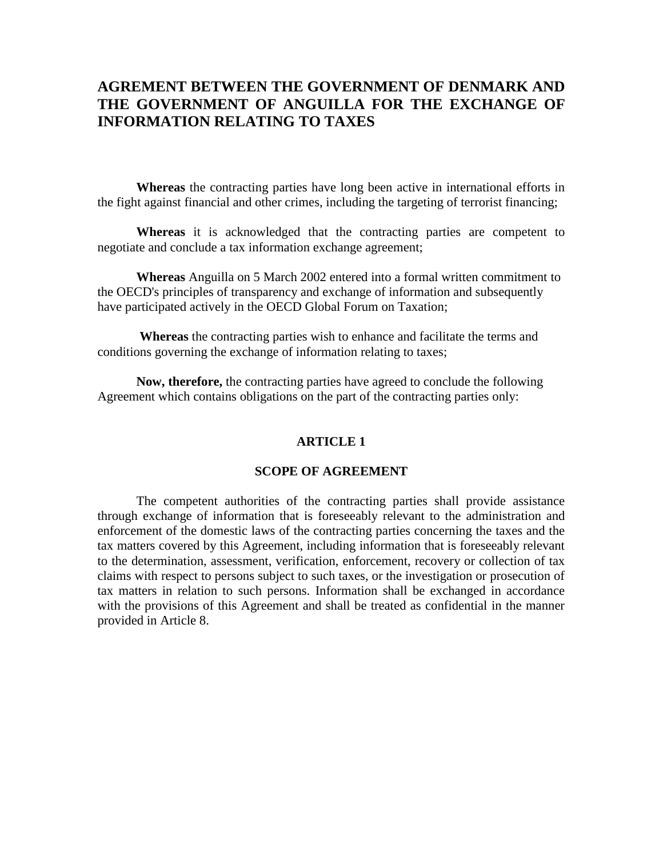# **AGREMENT BETWEEN THE GOVERNMENT OF DENMARK AND THE GOVERNMENT OF ANGUILLA FOR THE EXCHANGE OF INFORMATION RELATING TO TAXES**

 **Whereas** the contracting parties have long been active in international efforts in the fight against financial and other crimes, including the targeting of terrorist financing;

**Whereas** it is acknowledged that the contracting parties are competent to negotiate and conclude a tax information exchange agreement;

 **Whereas** Anguilla on 5 March 2002 entered into a formal written commitment to the OECD's principles of transparency and exchange of information and subsequently have participated actively in the OECD Global Forum on Taxation;

**Whereas** the contracting parties wish to enhance and facilitate the terms and conditions governing the exchange of information relating to taxes;

 **Now, therefore,** the contracting parties have agreed to conclude the following Agreement which contains obligations on the part of the contracting parties only:

### **ARTICLE 1**

### **SCOPE OF AGREEMENT**

The competent authorities of the contracting parties shall provide assistance through exchange of information that is foreseeably relevant to the administration and enforcement of the domestic laws of the contracting parties concerning the taxes and the tax matters covered by this Agreement, including information that is foreseeably relevant to the determination, assessment, verification, enforcement, recovery or collection of tax claims with respect to persons subject to such taxes, or the investigation or prosecution of tax matters in relation to such persons. Information shall be exchanged in accordance with the provisions of this Agreement and shall be treated as confidential in the manner provided in Article 8.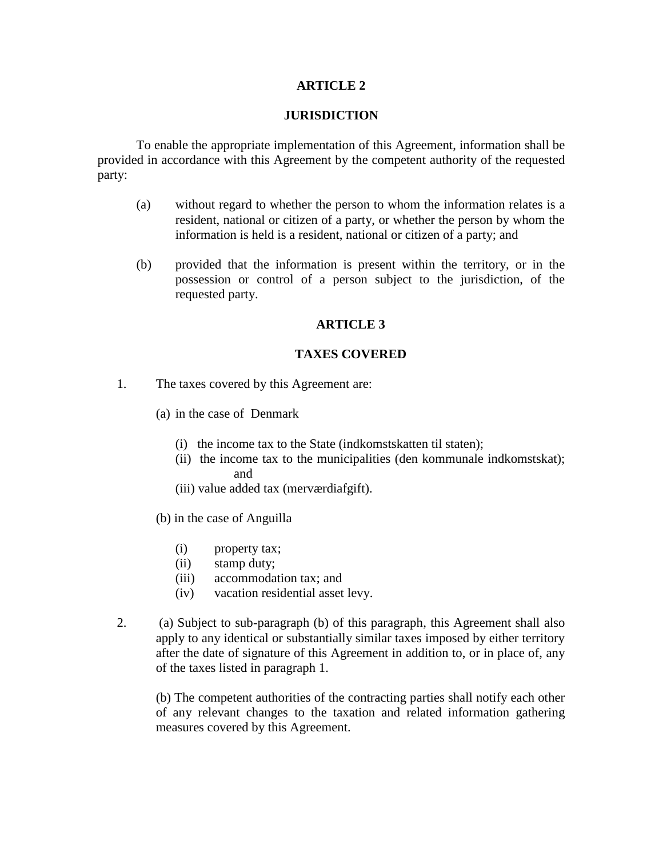### **JURISDICTION**

To enable the appropriate implementation of this Agreement, information shall be provided in accordance with this Agreement by the competent authority of the requested party:

- (a) without regard to whether the person to whom the information relates is a resident, national or citizen of a party, or whether the person by whom the information is held is a resident, national or citizen of a party; and
- (b) provided that the information is present within the territory, or in the possession or control of a person subject to the jurisdiction, of the requested party.

### **ARTICLE 3**

### **TAXES COVERED**

- 1. The taxes covered by this Agreement are:
	- (a) in the case of Denmark
		- (i) the income tax to the State (indkomstskatten til staten);
		- (ii) the income tax to the municipalities (den kommunale indkomstskat); and
		- (iii) value added tax (merværdiafgift).
	- (b) in the case of Anguilla
		- (i) property tax;
		- (ii) stamp duty;
		- (iii) accommodation tax; and
		- (iv) vacation residential asset levy.
- 2. (a) Subject to sub-paragraph (b) of this paragraph, this Agreement shall also apply to any identical or substantially similar taxes imposed by either territory after the date of signature of this Agreement in addition to, or in place of, any of the taxes listed in paragraph 1.

(b) The competent authorities of the contracting parties shall notify each other of any relevant changes to the taxation and related information gathering measures covered by this Agreement.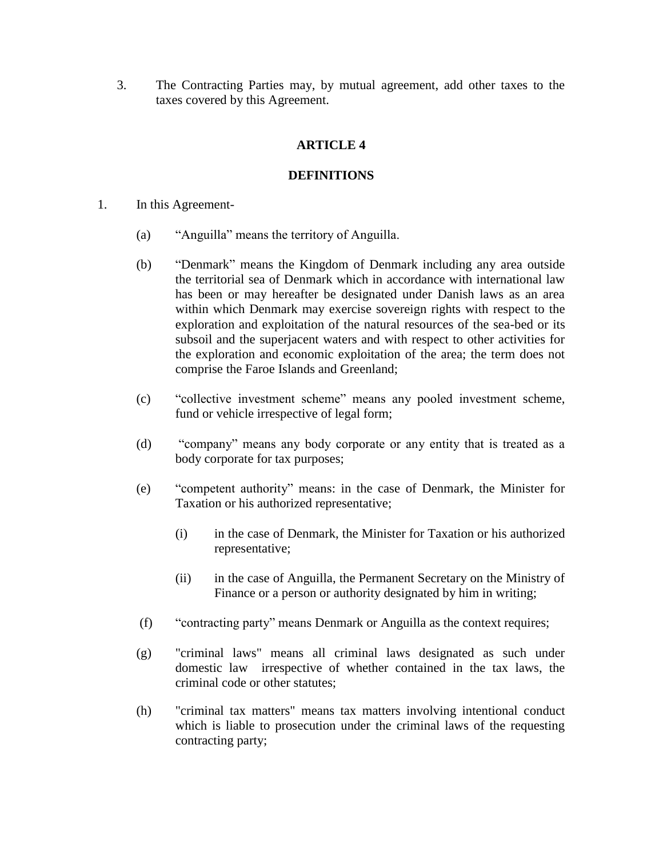3. The Contracting Parties may, by mutual agreement, add other taxes to the taxes covered by this Agreement.

# **ARTICLE 4**

# **DEFINITIONS**

- 1. In this Agreement-
	- (a) "Anguilla" means the territory of Anguilla.
	- (b) "Denmark" means the Kingdom of Denmark including any area outside the territorial sea of Denmark which in accordance with international law has been or may hereafter be designated under Danish laws as an area within which Denmark may exercise sovereign rights with respect to the exploration and exploitation of the natural resources of the sea-bed or its subsoil and the superjacent waters and with respect to other activities for the exploration and economic exploitation of the area; the term does not comprise the Faroe Islands and Greenland;
	- (c) "collective investment scheme" means any pooled investment scheme, fund or vehicle irrespective of legal form;
	- (d) "company" means any body corporate or any entity that is treated as a body corporate for tax purposes;
	- (e) "competent authority" means: in the case of Denmark, the Minister for Taxation or his authorized representative;
		- (i) in the case of Denmark, the Minister for Taxation or his authorized representative;
		- (ii) in the case of Anguilla, the Permanent Secretary on the Ministry of Finance or a person or authority designated by him in writing;
	- (f) "contracting party" means Denmark or Anguilla as the context requires;
	- (g) "criminal laws" means all criminal laws designated as such under domestic law irrespective of whether contained in the tax laws, the criminal code or other statutes;
	- (h) "criminal tax matters" means tax matters involving intentional conduct which is liable to prosecution under the criminal laws of the requesting contracting party;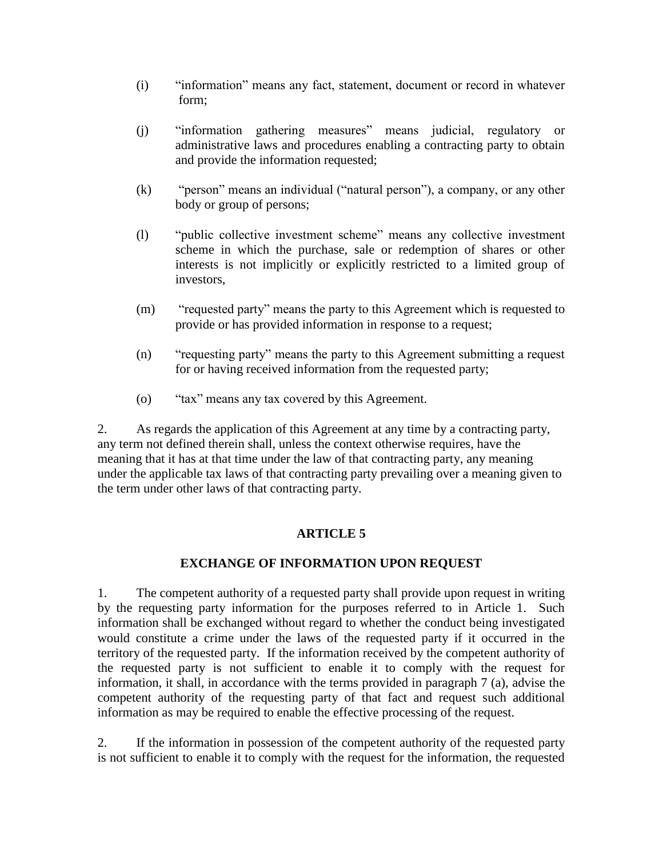- (i) "information" means any fact, statement, document or record in whatever form;
- (j) "information gathering measures" means judicial, regulatory or administrative laws and procedures enabling a contracting party to obtain and provide the information requested;
- (k) "person" means an individual ("natural person"), a company, or any other body or group of persons;
- (l) "public collective investment scheme" means any collective investment scheme in which the purchase, sale or redemption of shares or other interests is not implicitly or explicitly restricted to a limited group of investors,
- (m) "requested party" means the party to this Agreement which is requested to provide or has provided information in response to a request;
- (n) "requesting party" means the party to this Agreement submitting a request for or having received information from the requested party;
- (o) "tax" means any tax covered by this Agreement.

2. As regards the application of this Agreement at any time by a contracting party, any term not defined therein shall, unless the context otherwise requires, have the meaning that it has at that time under the law of that contracting party, any meaning under the applicable tax laws of that contracting party prevailing over a meaning given to the term under other laws of that contracting party.

# **ARTICLE 5**

# **EXCHANGE OF INFORMATION UPON REQUEST**

1. The competent authority of a requested party shall provide upon request in writing by the requesting party information for the purposes referred to in Article 1. Such information shall be exchanged without regard to whether the conduct being investigated would constitute a crime under the laws of the requested party if it occurred in the territory of the requested party. If the information received by the competent authority of the requested party is not sufficient to enable it to comply with the request for information, it shall, in accordance with the terms provided in paragraph 7 (a), advise the competent authority of the requesting party of that fact and request such additional information as may be required to enable the effective processing of the request.

2. If the information in possession of the competent authority of the requested party is not sufficient to enable it to comply with the request for the information, the requested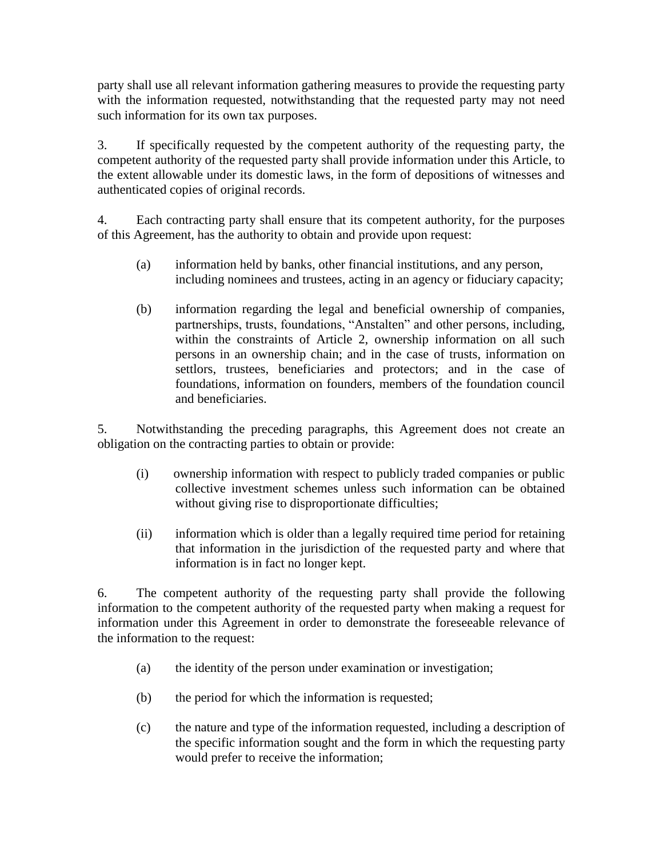party shall use all relevant information gathering measures to provide the requesting party with the information requested, notwithstanding that the requested party may not need such information for its own tax purposes.

3. If specifically requested by the competent authority of the requesting party, the competent authority of the requested party shall provide information under this Article, to the extent allowable under its domestic laws, in the form of depositions of witnesses and authenticated copies of original records.

4. Each contracting party shall ensure that its competent authority, for the purposes of this Agreement, has the authority to obtain and provide upon request:

- (a) information held by banks, other financial institutions, and any person, including nominees and trustees, acting in an agency or fiduciary capacity;
- (b) information regarding the legal and beneficial ownership of companies, partnerships, trusts, foundations, "Anstalten" and other persons, including, within the constraints of Article 2, ownership information on all such persons in an ownership chain; and in the case of trusts, information on settlors, trustees, beneficiaries and protectors; and in the case of foundations, information on founders, members of the foundation council and beneficiaries.

5. Notwithstanding the preceding paragraphs, this Agreement does not create an obligation on the contracting parties to obtain or provide:

- (i) ownership information with respect to publicly traded companies or public collective investment schemes unless such information can be obtained without giving rise to disproportionate difficulties;
- (ii) information which is older than a legally required time period for retaining that information in the jurisdiction of the requested party and where that information is in fact no longer kept.

6. The competent authority of the requesting party shall provide the following information to the competent authority of the requested party when making a request for information under this Agreement in order to demonstrate the foreseeable relevance of the information to the request:

- (a) the identity of the person under examination or investigation;
- (b) the period for which the information is requested;
- (c) the nature and type of the information requested, including a description of the specific information sought and the form in which the requesting party would prefer to receive the information;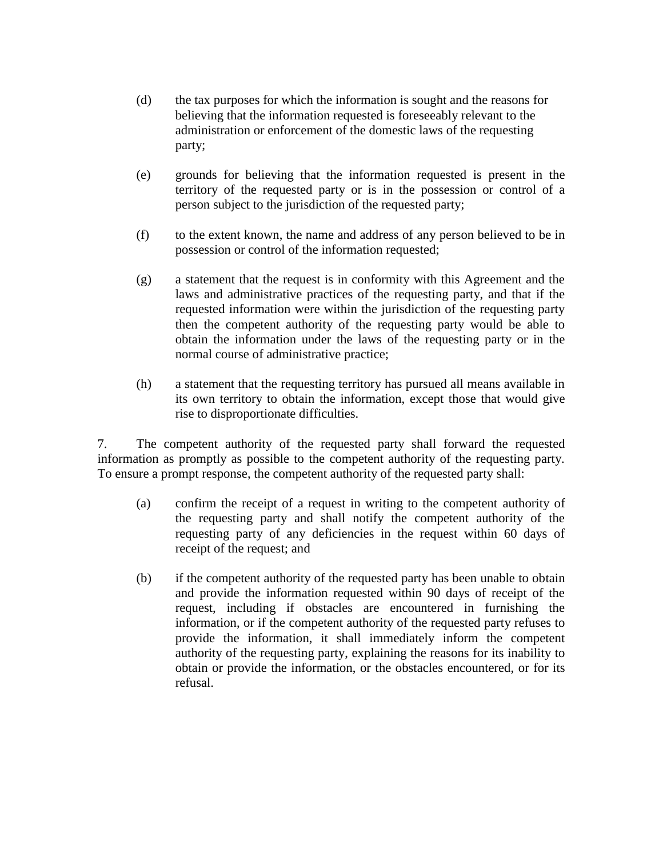- (d) the tax purposes for which the information is sought and the reasons for believing that the information requested is foreseeably relevant to the administration or enforcement of the domestic laws of the requesting party;
- (e) grounds for believing that the information requested is present in the territory of the requested party or is in the possession or control of a person subject to the jurisdiction of the requested party;
- (f) to the extent known, the name and address of any person believed to be in possession or control of the information requested;
- (g) a statement that the request is in conformity with this Agreement and the laws and administrative practices of the requesting party, and that if the requested information were within the jurisdiction of the requesting party then the competent authority of the requesting party would be able to obtain the information under the laws of the requesting party or in the normal course of administrative practice;
- (h) a statement that the requesting territory has pursued all means available in its own territory to obtain the information, except those that would give rise to disproportionate difficulties.

7. The competent authority of the requested party shall forward the requested information as promptly as possible to the competent authority of the requesting party. To ensure a prompt response, the competent authority of the requested party shall:

- (a) confirm the receipt of a request in writing to the competent authority of the requesting party and shall notify the competent authority of the requesting party of any deficiencies in the request within 60 days of receipt of the request; and
- (b) if the competent authority of the requested party has been unable to obtain and provide the information requested within 90 days of receipt of the request, including if obstacles are encountered in furnishing the information, or if the competent authority of the requested party refuses to provide the information, it shall immediately inform the competent authority of the requesting party, explaining the reasons for its inability to obtain or provide the information, or the obstacles encountered, or for its refusal.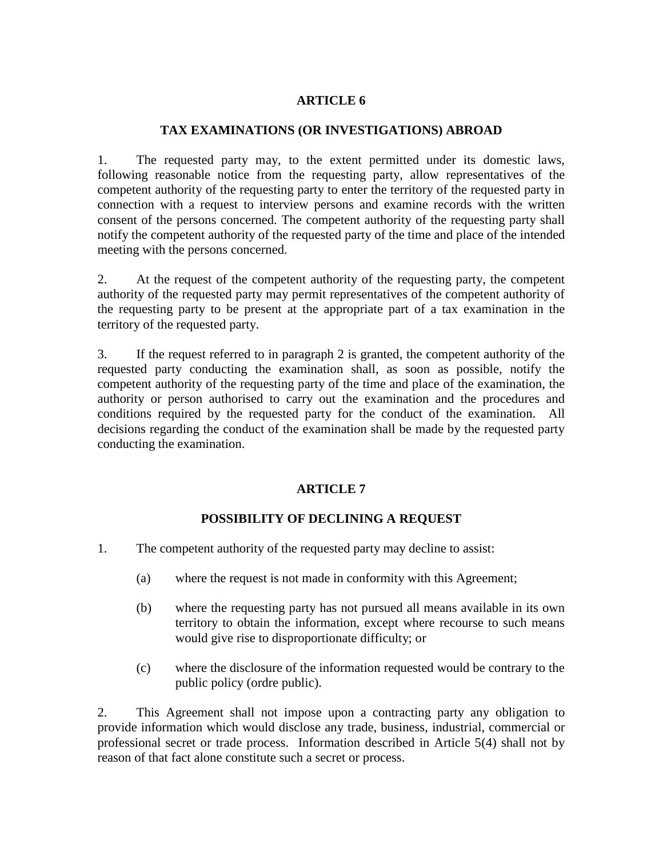### **TAX EXAMINATIONS (OR INVESTIGATIONS) ABROAD**

1. The requested party may, to the extent permitted under its domestic laws, following reasonable notice from the requesting party, allow representatives of the competent authority of the requesting party to enter the territory of the requested party in connection with a request to interview persons and examine records with the written consent of the persons concerned. The competent authority of the requesting party shall notify the competent authority of the requested party of the time and place of the intended meeting with the persons concerned.

2. At the request of the competent authority of the requesting party, the competent authority of the requested party may permit representatives of the competent authority of the requesting party to be present at the appropriate part of a tax examination in the territory of the requested party.

3. If the request referred to in paragraph 2 is granted, the competent authority of the requested party conducting the examination shall, as soon as possible, notify the competent authority of the requesting party of the time and place of the examination, the authority or person authorised to carry out the examination and the procedures and conditions required by the requested party for the conduct of the examination. All decisions regarding the conduct of the examination shall be made by the requested party conducting the examination.

# **ARTICLE 7**

# **POSSIBILITY OF DECLINING A REQUEST**

- 1. The competent authority of the requested party may decline to assist:
	- (a) where the request is not made in conformity with this Agreement;
	- (b) where the requesting party has not pursued all means available in its own territory to obtain the information, except where recourse to such means would give rise to disproportionate difficulty; or
	- (c) where the disclosure of the information requested would be contrary to the public policy (ordre public).

2. This Agreement shall not impose upon a contracting party any obligation to provide information which would disclose any trade, business, industrial, commercial or professional secret or trade process. Information described in Article 5(4) shall not by reason of that fact alone constitute such a secret or process.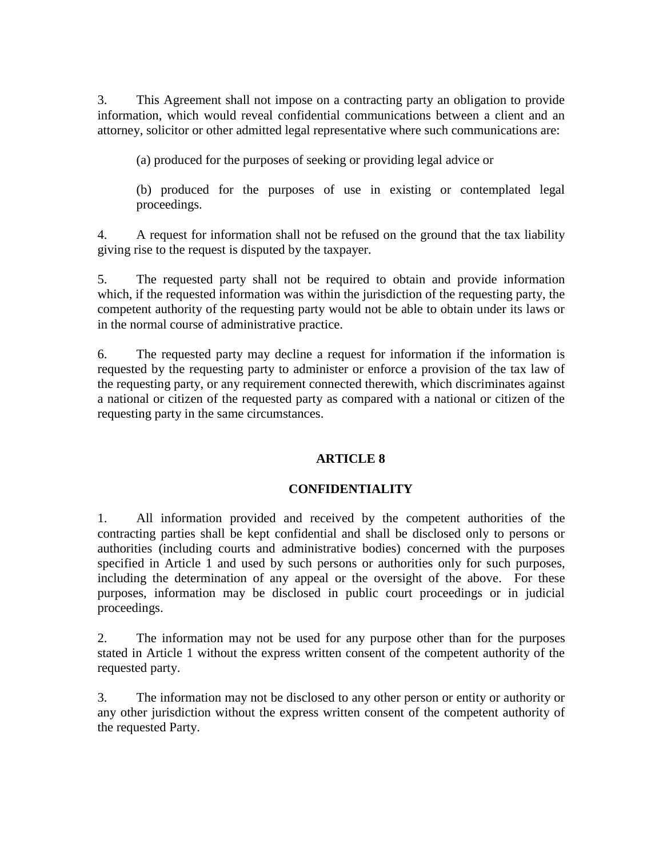3. This Agreement shall not impose on a contracting party an obligation to provide information, which would reveal confidential communications between a client and an attorney, solicitor or other admitted legal representative where such communications are:

(a) produced for the purposes of seeking or providing legal advice or

(b) produced for the purposes of use in existing or contemplated legal proceedings.

4. A request for information shall not be refused on the ground that the tax liability giving rise to the request is disputed by the taxpayer.

5. The requested party shall not be required to obtain and provide information which, if the requested information was within the jurisdiction of the requesting party, the competent authority of the requesting party would not be able to obtain under its laws or in the normal course of administrative practice.

6. The requested party may decline a request for information if the information is requested by the requesting party to administer or enforce a provision of the tax law of the requesting party, or any requirement connected therewith, which discriminates against a national or citizen of the requested party as compared with a national or citizen of the requesting party in the same circumstances.

# **ARTICLE 8**

# **CONFIDENTIALITY**

1. All information provided and received by the competent authorities of the contracting parties shall be kept confidential and shall be disclosed only to persons or authorities (including courts and administrative bodies) concerned with the purposes specified in Article 1 and used by such persons or authorities only for such purposes, including the determination of any appeal or the oversight of the above. For these purposes, information may be disclosed in public court proceedings or in judicial proceedings.

2. The information may not be used for any purpose other than for the purposes stated in Article 1 without the express written consent of the competent authority of the requested party.

3. The information may not be disclosed to any other person or entity or authority or any other jurisdiction without the express written consent of the competent authority of the requested Party.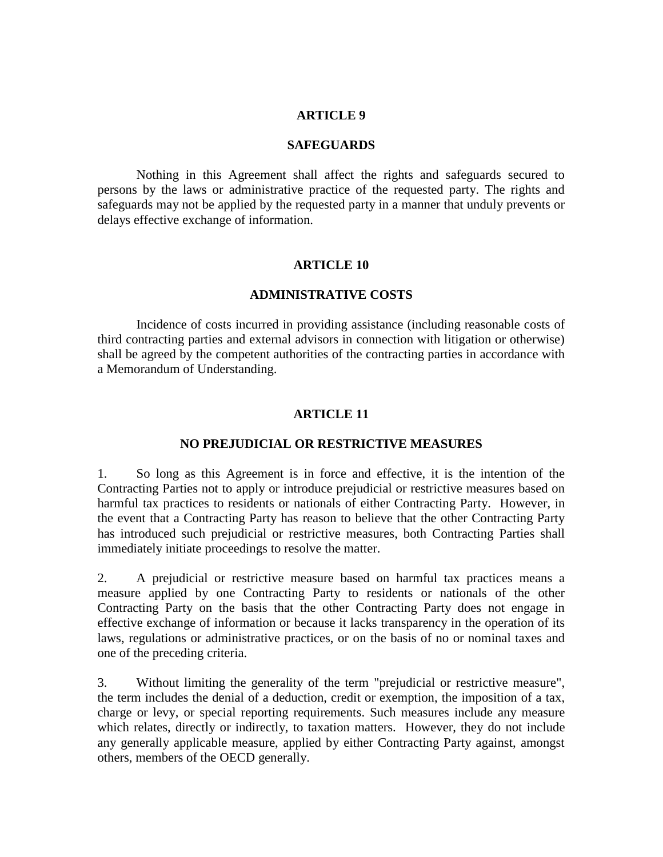#### **SAFEGUARDS**

Nothing in this Agreement shall affect the rights and safeguards secured to persons by the laws or administrative practice of the requested party. The rights and safeguards may not be applied by the requested party in a manner that unduly prevents or delays effective exchange of information.

### **ARTICLE 10**

### **ADMINISTRATIVE COSTS**

Incidence of costs incurred in providing assistance (including reasonable costs of third contracting parties and external advisors in connection with litigation or otherwise) shall be agreed by the competent authorities of the contracting parties in accordance with a Memorandum of Understanding.

### **ARTICLE 11**

### **NO PREJUDICIAL OR RESTRICTIVE MEASURES**

1. So long as this Agreement is in force and effective, it is the intention of the Contracting Parties not to apply or introduce prejudicial or restrictive measures based on harmful tax practices to residents or nationals of either Contracting Party. However, in the event that a Contracting Party has reason to believe that the other Contracting Party has introduced such prejudicial or restrictive measures, both Contracting Parties shall immediately initiate proceedings to resolve the matter.

2. A prejudicial or restrictive measure based on harmful tax practices means a measure applied by one Contracting Party to residents or nationals of the other Contracting Party on the basis that the other Contracting Party does not engage in effective exchange of information or because it lacks transparency in the operation of its laws, regulations or administrative practices, or on the basis of no or nominal taxes and one of the preceding criteria.

3. Without limiting the generality of the term "prejudicial or restrictive measure", the term includes the denial of a deduction, credit or exemption, the imposition of a tax, charge or levy, or special reporting requirements. Such measures include any measure which relates, directly or indirectly, to taxation matters. However, they do not include any generally applicable measure, applied by either Contracting Party against, amongst others, members of the OECD generally.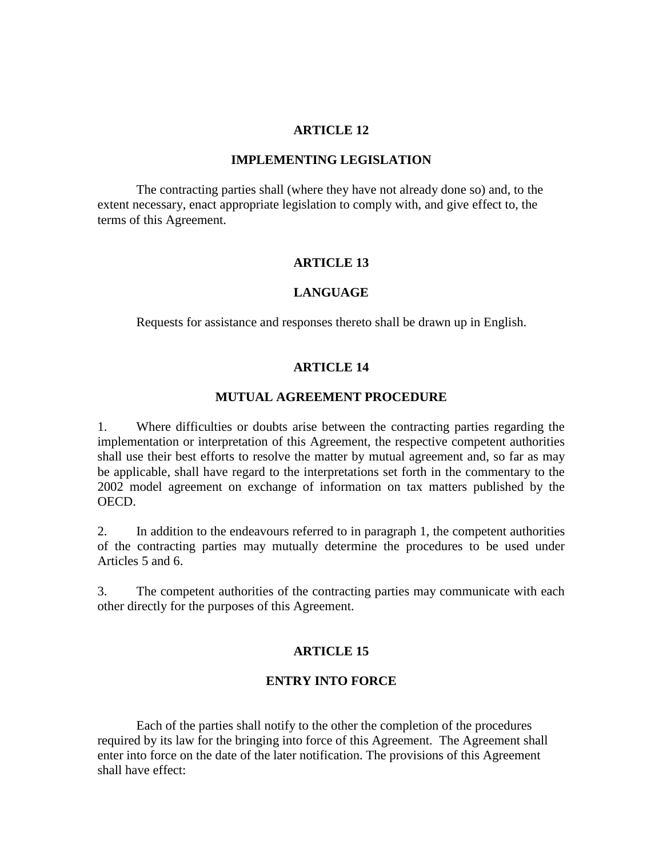#### **IMPLEMENTING LEGISLATION**

The contracting parties shall (where they have not already done so) and, to the extent necessary, enact appropriate legislation to comply with, and give effect to, the terms of this Agreement.

#### **ARTICLE 13**

### **LANGUAGE**

Requests for assistance and responses thereto shall be drawn up in English.

### **ARTICLE 14**

#### **MUTUAL AGREEMENT PROCEDURE**

1. Where difficulties or doubts arise between the contracting parties regarding the implementation or interpretation of this Agreement, the respective competent authorities shall use their best efforts to resolve the matter by mutual agreement and, so far as may be applicable, shall have regard to the interpretations set forth in the commentary to the 2002 model agreement on exchange of information on tax matters published by the OECD.

2. In addition to the endeavours referred to in paragraph 1, the competent authorities of the contracting parties may mutually determine the procedures to be used under Articles 5 and 6.

3. The competent authorities of the contracting parties may communicate with each other directly for the purposes of this Agreement.

### **ARTICLE 15**

### **ENTRY INTO FORCE**

Each of the parties shall notify to the other the completion of the procedures required by its law for the bringing into force of this Agreement. The Agreement shall enter into force on the date of the later notification. The provisions of this Agreement shall have effect: